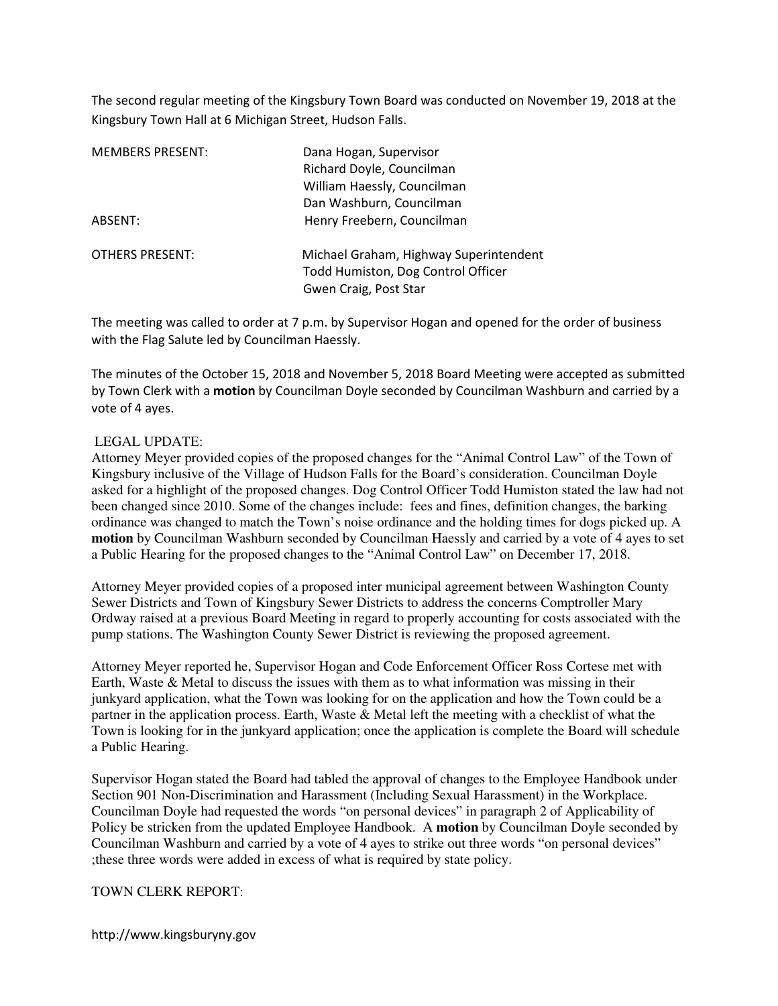The second regular meeting of the Kingsbury Town Board was conducted on November 19, 2018 at the Kingsbury Town Hall at 6 Michigan Street, Hudson Falls.

| MEMBERS PRESENT: | Dana Hogan, Supervisor<br>Richard Doyle, Councilman<br>William Haessly, Councilman<br>Dan Washburn, Councilman |
|------------------|----------------------------------------------------------------------------------------------------------------|
| ABSENT:          | Henry Freebern, Councilman                                                                                     |
| OTHERS PRESENT:  | Michael Graham, Highway Superintendent<br>Todd Humiston, Dog Control Officer<br>Gwen Craig, Post Star          |

The meeting was called to order at 7 p.m. by Supervisor Hogan and opened for the order of business with the Flag Salute led by Councilman Haessly.

The minutes of the October 15, 2018 and November 5, 2018 Board Meeting were accepted as submitted by Town Clerk with a motion by Councilman Doyle seconded by Councilman Washburn and carried by a vote of 4 ayes.

## LEGAL UPDATE:

Attorney Meyer provided copies of the proposed changes for the "Animal Control Law" of the Town of Kingsbury inclusive of the Village of Hudson Falls for the Board's consideration. Councilman Doyle asked for a highlight of the proposed changes. Dog Control Officer Todd Humiston stated the law had not been changed since 2010. Some of the changes include: fees and fines, definition changes, the barking ordinance was changed to match the Town's noise ordinance and the holding times for dogs picked up. A **motion** by Councilman Washburn seconded by Councilman Haessly and carried by a vote of 4 ayes to set a Public Hearing for the proposed changes to the "Animal Control Law" on December 17, 2018.

Attorney Meyer provided copies of a proposed inter municipal agreement between Washington County Sewer Districts and Town of Kingsbury Sewer Districts to address the concerns Comptroller Mary Ordway raised at a previous Board Meeting in regard to properly accounting for costs associated with the pump stations. The Washington County Sewer District is reviewing the proposed agreement.

Attorney Meyer reported he, Supervisor Hogan and Code Enforcement Officer Ross Cortese met with Earth, Waste & Metal to discuss the issues with them as to what information was missing in their junkyard application, what the Town was looking for on the application and how the Town could be a partner in the application process. Earth, Waste & Metal left the meeting with a checklist of what the Town is looking for in the junkyard application; once the application is complete the Board will schedule a Public Hearing.

Supervisor Hogan stated the Board had tabled the approval of changes to the Employee Handbook under Section 901 Non-Discrimination and Harassment (Including Sexual Harassment) in the Workplace. Councilman Doyle had requested the words "on personal devices" in paragraph 2 of Applicability of Policy be stricken from the updated Employee Handbook. A **motion** by Councilman Doyle seconded by Councilman Washburn and carried by a vote of 4 ayes to strike out three words "on personal devices" ;these three words were added in excess of what is required by state policy.

### TOWN CLERK REPORT:

http://www.kingsburyny.gov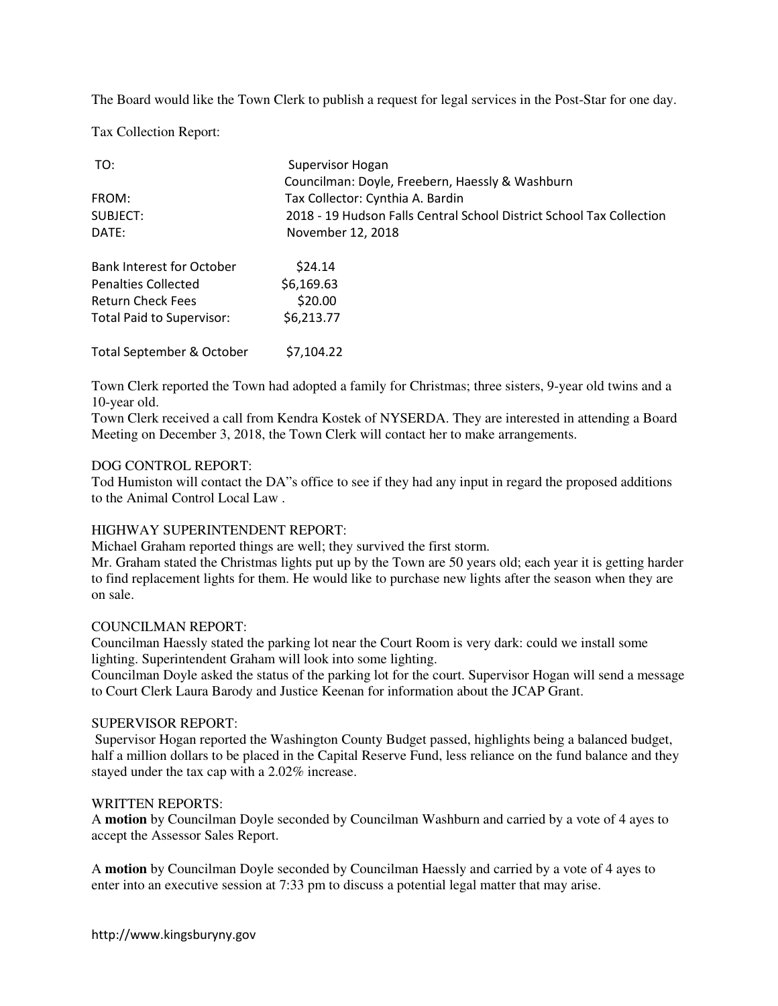The Board would like the Town Clerk to publish a request for legal services in the Post-Star for one day.

Tax Collection Report:

| TO:                              | Supervisor Hogan                                                     |
|----------------------------------|----------------------------------------------------------------------|
|                                  | Councilman: Doyle, Freebern, Haessly & Washburn                      |
| FROM:                            | Tax Collector: Cynthia A. Bardin                                     |
| SUBJECT:                         | 2018 - 19 Hudson Falls Central School District School Tax Collection |
| DATE:                            | November 12, 2018                                                    |
| <b>Bank Interest for October</b> | \$24.14                                                              |
| <b>Penalties Collected</b>       | \$6,169.63                                                           |
| <b>Return Check Fees</b>         | \$20.00                                                              |
| Total Paid to Supervisor:        | \$6,213.77                                                           |
| Total September & October        | \$7.104.22                                                           |

Town Clerk reported the Town had adopted a family for Christmas; three sisters, 9-year old twins and a 10-year old.

Town Clerk received a call from Kendra Kostek of NYSERDA. They are interested in attending a Board Meeting on December 3, 2018, the Town Clerk will contact her to make arrangements.

## DOG CONTROL REPORT:

Tod Humiston will contact the DA"s office to see if they had any input in regard the proposed additions to the Animal Control Local Law .

# HIGHWAY SUPERINTENDENT REPORT:

Michael Graham reported things are well; they survived the first storm.

Mr. Graham stated the Christmas lights put up by the Town are 50 years old; each year it is getting harder to find replacement lights for them. He would like to purchase new lights after the season when they are on sale.

## COUNCILMAN REPORT:

Councilman Haessly stated the parking lot near the Court Room is very dark: could we install some lighting. Superintendent Graham will look into some lighting.

Councilman Doyle asked the status of the parking lot for the court. Supervisor Hogan will send a message to Court Clerk Laura Barody and Justice Keenan for information about the JCAP Grant.

## SUPERVISOR REPORT:

 Supervisor Hogan reported the Washington County Budget passed, highlights being a balanced budget, half a million dollars to be placed in the Capital Reserve Fund, less reliance on the fund balance and they stayed under the tax cap with a 2.02% increase.

## WRITTEN REPORTS:

A **motion** by Councilman Doyle seconded by Councilman Washburn and carried by a vote of 4 ayes to accept the Assessor Sales Report.

A **motion** by Councilman Doyle seconded by Councilman Haessly and carried by a vote of 4 ayes to enter into an executive session at 7:33 pm to discuss a potential legal matter that may arise.